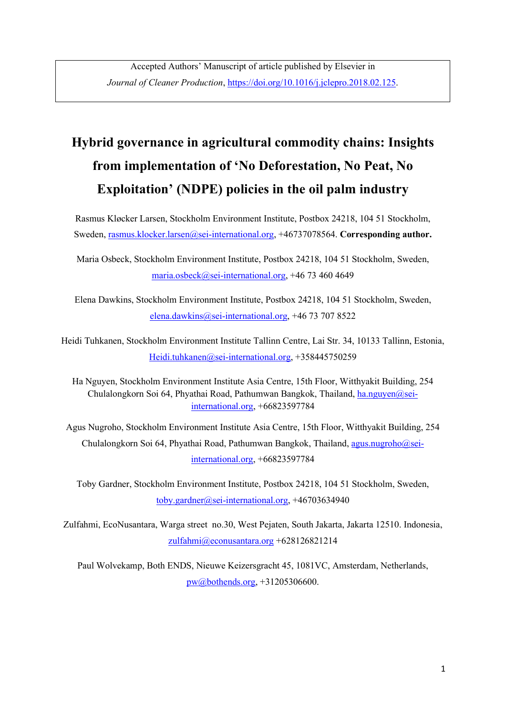# Hybrid governance in agricultural commodity chains: Insights from implementation of 'No Deforestation, No Peat, No Exploitation' (NDPE) policies in the oil palm industry

Rasmus Kløcker Larsen, Stockholm Environment Institute, Postbox 24218, 104 51 Stockholm, Sweden, rasmus.klocker.larsen@sei-international.org, +46737078564. Corresponding author.

Maria Osbeck, Stockholm Environment Institute, Postbox 24218, 104 51 Stockholm, Sweden, maria.osbeck@sei-international.org, +46 73 460 4649

Elena Dawkins, Stockholm Environment Institute, Postbox 24218, 104 51 Stockholm, Sweden, elena.dawkins@sei-international.org, +46 73 707 8522

Heidi Tuhkanen, Stockholm Environment Institute Tallinn Centre, Lai Str. 34, 10133 Tallinn, Estonia, Heidi.tuhkanen@sei-international.org, +358445750259

Ha Nguyen, Stockholm Environment Institute Asia Centre, 15th Floor, Witthyakit Building, 254 Chulalongkorn Soi 64, Phyathai Road, Pathumwan Bangkok, Thailand, ha.nguyen@seiinternational.org, +66823597784

Agus Nugroho, Stockholm Environment Institute Asia Centre, 15th Floor, Witthyakit Building, 254 Chulalongkorn Soi 64, Phyathai Road, Pathumwan Bangkok, Thailand, agus.nugroho@seiinternational.org, +66823597784

Toby Gardner, Stockholm Environment Institute, Postbox 24218, 104 51 Stockholm, Sweden, toby.gardner@sei-international.org, +46703634940

Zulfahmi, EcoNusantara, Warga street no.30, West Pejaten, South Jakarta, Jakarta 12510. Indonesia, zulfahmi@econusantara.org +628126821214

Paul Wolvekamp, Both ENDS, Nieuwe Keizersgracht 45, 1081VC, Amsterdam, Netherlands, pw@bothends.org, +31205306600.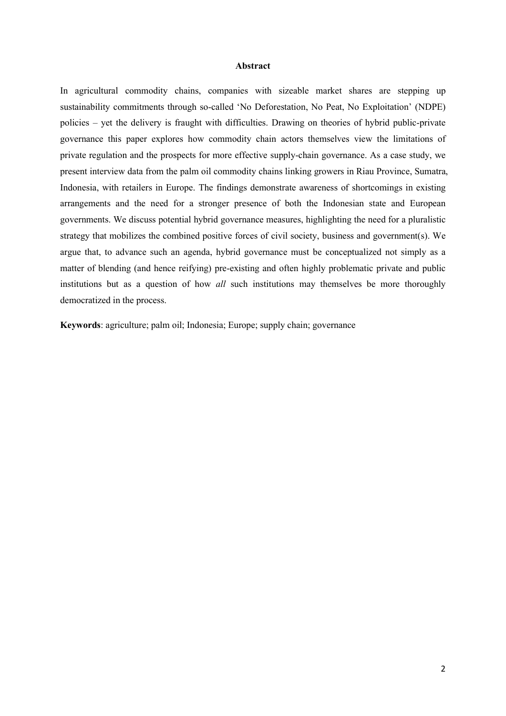#### Abstract

In agricultural commodity chains, companies with sizeable market shares are stepping up sustainability commitments through so-called 'No Deforestation, No Peat, No Exploitation' (NDPE) policies – yet the delivery is fraught with difficulties. Drawing on theories of hybrid public-private governance this paper explores how commodity chain actors themselves view the limitations of private regulation and the prospects for more effective supply-chain governance. As a case study, we present interview data from the palm oil commodity chains linking growers in Riau Province, Sumatra, Indonesia, with retailers in Europe. The findings demonstrate awareness of shortcomings in existing arrangements and the need for a stronger presence of both the Indonesian state and European governments. We discuss potential hybrid governance measures, highlighting the need for a pluralistic strategy that mobilizes the combined positive forces of civil society, business and government(s). We argue that, to advance such an agenda, hybrid governance must be conceptualized not simply as a matter of blending (and hence reifying) pre-existing and often highly problematic private and public institutions but as a question of how *all* such institutions may themselves be more thoroughly democratized in the process.

Keywords: agriculture; palm oil; Indonesia; Europe; supply chain; governance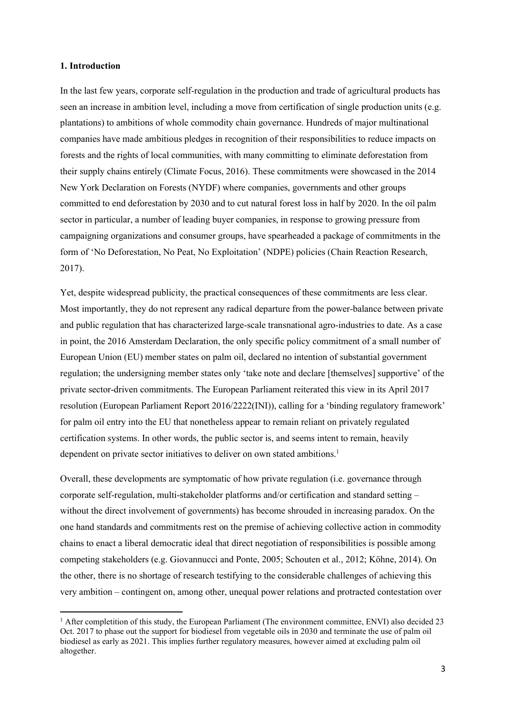## 1. Introduction

In the last few years, corporate self-regulation in the production and trade of agricultural products has seen an increase in ambition level, including a move from certification of single production units (e.g. plantations) to ambitions of whole commodity chain governance. Hundreds of major multinational companies have made ambitious pledges in recognition of their responsibilities to reduce impacts on forests and the rights of local communities, with many committing to eliminate deforestation from their supply chains entirely (Climate Focus, 2016). These commitments were showcased in the 2014 New York Declaration on Forests (NYDF) where companies, governments and other groups committed to end deforestation by 2030 and to cut natural forest loss in half by 2020. In the oil palm sector in particular, a number of leading buyer companies, in response to growing pressure from campaigning organizations and consumer groups, have spearheaded a package of commitments in the form of 'No Deforestation, No Peat, No Exploitation' (NDPE) policies (Chain Reaction Research, 2017).

Yet, despite widespread publicity, the practical consequences of these commitments are less clear. Most importantly, they do not represent any radical departure from the power-balance between private and public regulation that has characterized large-scale transnational agro-industries to date. As a case in point, the 2016 Amsterdam Declaration, the only specific policy commitment of a small number of European Union (EU) member states on palm oil, declared no intention of substantial government regulation; the undersigning member states only 'take note and declare [themselves] supportive' of the private sector-driven commitments. The European Parliament reiterated this view in its April 2017 resolution (European Parliament Report 2016/2222(INI)), calling for a 'binding regulatory framework' for palm oil entry into the EU that nonetheless appear to remain reliant on privately regulated certification systems. In other words, the public sector is, and seems intent to remain, heavily dependent on private sector initiatives to deliver on own stated ambitions.<sup>1</sup>

Overall, these developments are symptomatic of how private regulation (i.e. governance through corporate self-regulation, multi-stakeholder platforms and/or certification and standard setting – without the direct involvement of governments) has become shrouded in increasing paradox. On the one hand standards and commitments rest on the premise of achieving collective action in commodity chains to enact a liberal democratic ideal that direct negotiation of responsibilities is possible among competing stakeholders (e.g. Giovannucci and Ponte, 2005; Schouten et al., 2012; Köhne, 2014). On the other, there is no shortage of research testifying to the considerable challenges of achieving this very ambition – contingent on, among other, unequal power relations and protracted contestation over

<sup>&</sup>lt;sup>1</sup> After completition of this study, the European Parliament (The environment committee, ENVI) also decided 23 Oct. 2017 to phase out the support for biodiesel from vegetable oils in 2030 and terminate the use of palm oil biodiesel as early as 2021. This implies further regulatory measures, however aimed at excluding palm oil altogether.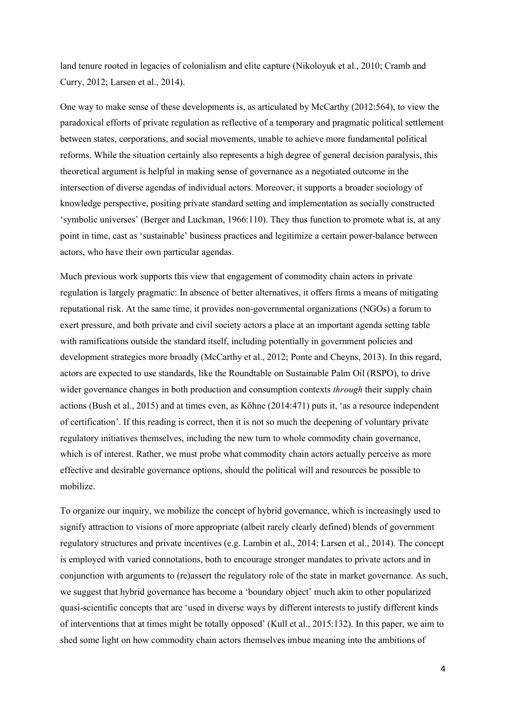land tenure rooted in legacies of colonialism and elite capture (Nikoloyuk et al., 2010; Cramb and Curry, 2012; Larsen et al., 2014).

One way to make sense of these developments is, as articulated by McCarthy (2012:564), to view the paradoxical efforts of private regulation as reflective of a temporary and pragmatic political settlement between states, corporations, and social movements, unable to achieve more fundamental political reforms. While the situation certainly also represents a high degree of general decision paralysis, this theoretical argument is helpful in making sense of governance as a negotiated outcome in the intersection of diverse agendas of individual actors. Moreover, it supports a broader sociology of knowledge perspective, positing private standard setting and implementation as socially constructed 'symbolic universes' (Berger and Luckman, 1966:110). They thus function to promote what is, at any point in time, cast as 'sustainable' business practices and legitimize a certain power-balance between actors, who have their own particular agendas.

Much previous work supports this view that engagement of commodity chain actors in private regulation is largely pragmatic: In absence of better alternatives, it offers firms a means of mitigating reputational risk. At the same time, it provides non-governmental organizations (NGOs) a forum to exert pressure, and both private and civil society actors a place at an important agenda setting table with ramifications outside the standard itself, including potentially in government policies and development strategies more broadly (McCarthy et al., 2012; Ponte and Cheyns, 2013). In this regard, actors are expected to use standards, like the Roundtable on Sustainable Palm Oil (RSPO), to drive wider governance changes in both production and consumption contexts *through* their supply chain actions (Bush et al., 2015) and at times even, as Köhne (2014:471) puts it, 'as a resource independent of certification'. If this reading is correct, then it is not so much the deepening of voluntary private regulatory initiatives themselves, including the new turn to whole commodity chain governance, which is of interest. Rather, we must probe what commodity chain actors actually perceive as more effective and desirable governance options, should the political will and resources be possible to mobilize.

To organize our inquiry, we mobilize the concept of hybrid governance, which is increasingly used to signify attraction to visions of more appropriate (albeit rarely clearly defined) blends of government regulatory structures and private incentives (e.g. Lambin et al., 2014; Larsen et al., 2014). The concept is employed with varied connotations, both to encourage stronger mandates to private actors and in conjunction with arguments to (re)assert the regulatory role of the state in market governance. As such, we suggest that hybrid governance has become a 'boundary object' much akin to other popularized quasi-scientific concepts that are 'used in diverse ways by different interests to justify different kinds of interventions that at times might be totally opposed' (Kull et al., 2015:132). In this paper, we aim to shed some light on how commodity chain actors themselves imbue meaning into the ambitions of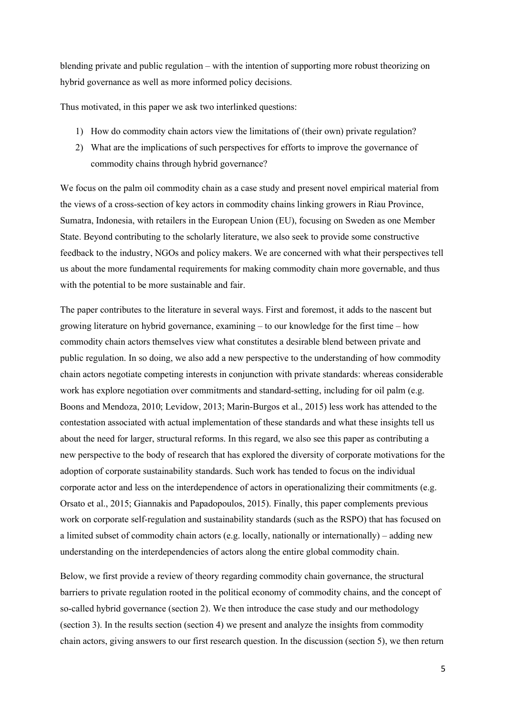blending private and public regulation – with the intention of supporting more robust theorizing on hybrid governance as well as more informed policy decisions.

Thus motivated, in this paper we ask two interlinked questions:

- 1) How do commodity chain actors view the limitations of (their own) private regulation?
- 2) What are the implications of such perspectives for efforts to improve the governance of commodity chains through hybrid governance?

We focus on the palm oil commodity chain as a case study and present novel empirical material from the views of a cross-section of key actors in commodity chains linking growers in Riau Province, Sumatra, Indonesia, with retailers in the European Union (EU), focusing on Sweden as one Member State. Beyond contributing to the scholarly literature, we also seek to provide some constructive feedback to the industry, NGOs and policy makers. We are concerned with what their perspectives tell us about the more fundamental requirements for making commodity chain more governable, and thus with the potential to be more sustainable and fair.

The paper contributes to the literature in several ways. First and foremost, it adds to the nascent but growing literature on hybrid governance, examining – to our knowledge for the first time – how commodity chain actors themselves view what constitutes a desirable blend between private and public regulation. In so doing, we also add a new perspective to the understanding of how commodity chain actors negotiate competing interests in conjunction with private standards: whereas considerable work has explore negotiation over commitments and standard-setting, including for oil palm (e.g. Boons and Mendoza, 2010; Levidow, 2013; Marin-Burgos et al., 2015) less work has attended to the contestation associated with actual implementation of these standards and what these insights tell us about the need for larger, structural reforms. In this regard, we also see this paper as contributing a new perspective to the body of research that has explored the diversity of corporate motivations for the adoption of corporate sustainability standards. Such work has tended to focus on the individual corporate actor and less on the interdependence of actors in operationalizing their commitments (e.g. Orsato et al., 2015; Giannakis and Papadopoulos, 2015). Finally, this paper complements previous work on corporate self-regulation and sustainability standards (such as the RSPO) that has focused on a limited subset of commodity chain actors (e.g. locally, nationally or internationally) – adding new understanding on the interdependencies of actors along the entire global commodity chain.

Below, we first provide a review of theory regarding commodity chain governance, the structural barriers to private regulation rooted in the political economy of commodity chains, and the concept of so-called hybrid governance (section 2). We then introduce the case study and our methodology (section 3). In the results section (section 4) we present and analyze the insights from commodity chain actors, giving answers to our first research question. In the discussion (section 5), we then return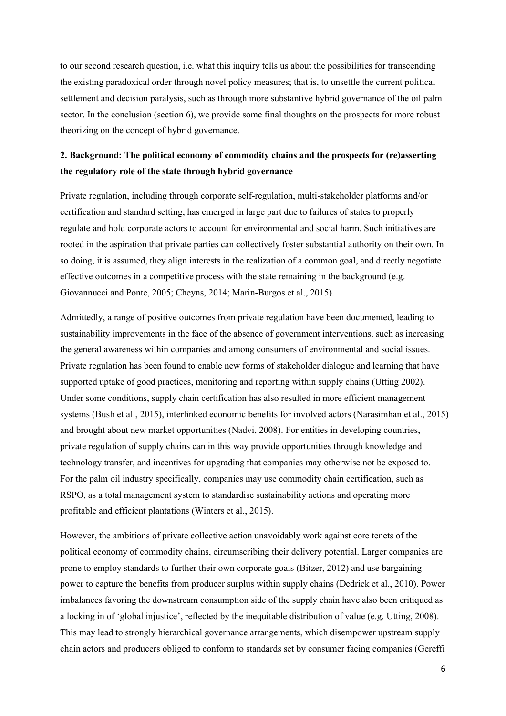to our second research question, i.e. what this inquiry tells us about the possibilities for transcending the existing paradoxical order through novel policy measures; that is, to unsettle the current political settlement and decision paralysis, such as through more substantive hybrid governance of the oil palm sector. In the conclusion (section 6), we provide some final thoughts on the prospects for more robust theorizing on the concept of hybrid governance.

# 2. Background: The political economy of commodity chains and the prospects for (re)asserting the regulatory role of the state through hybrid governance

Private regulation, including through corporate self-regulation, multi-stakeholder platforms and/or certification and standard setting, has emerged in large part due to failures of states to properly regulate and hold corporate actors to account for environmental and social harm. Such initiatives are rooted in the aspiration that private parties can collectively foster substantial authority on their own. In so doing, it is assumed, they align interests in the realization of a common goal, and directly negotiate effective outcomes in a competitive process with the state remaining in the background (e.g. Giovannucci and Ponte, 2005; Cheyns, 2014; Marin-Burgos et al., 2015).

Admittedly, a range of positive outcomes from private regulation have been documented, leading to sustainability improvements in the face of the absence of government interventions, such as increasing the general awareness within companies and among consumers of environmental and social issues. Private regulation has been found to enable new forms of stakeholder dialogue and learning that have supported uptake of good practices, monitoring and reporting within supply chains (Utting 2002). Under some conditions, supply chain certification has also resulted in more efficient management systems (Bush et al., 2015), interlinked economic benefits for involved actors (Narasimhan et al., 2015) and brought about new market opportunities (Nadvi, 2008). For entities in developing countries, private regulation of supply chains can in this way provide opportunities through knowledge and technology transfer, and incentives for upgrading that companies may otherwise not be exposed to. For the palm oil industry specifically, companies may use commodity chain certification, such as RSPO, as a total management system to standardise sustainability actions and operating more profitable and efficient plantations (Winters et al., 2015).

However, the ambitions of private collective action unavoidably work against core tenets of the political economy of commodity chains, circumscribing their delivery potential. Larger companies are prone to employ standards to further their own corporate goals (Bitzer, 2012) and use bargaining power to capture the benefits from producer surplus within supply chains (Dedrick et al., 2010). Power imbalances favoring the downstream consumption side of the supply chain have also been critiqued as a locking in of 'global injustice', reflected by the inequitable distribution of value (e.g. Utting, 2008). This may lead to strongly hierarchical governance arrangements, which disempower upstream supply chain actors and producers obliged to conform to standards set by consumer facing companies (Gereffi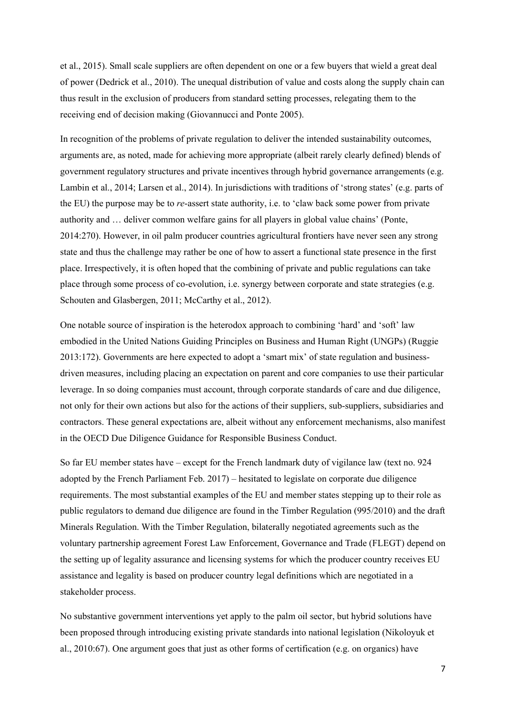et al., 2015). Small scale suppliers are often dependent on one or a few buyers that wield a great deal of power (Dedrick et al., 2010). The unequal distribution of value and costs along the supply chain can thus result in the exclusion of producers from standard setting processes, relegating them to the receiving end of decision making (Giovannucci and Ponte 2005).

In recognition of the problems of private regulation to deliver the intended sustainability outcomes, arguments are, as noted, made for achieving more appropriate (albeit rarely clearly defined) blends of government regulatory structures and private incentives through hybrid governance arrangements (e.g. Lambin et al., 2014; Larsen et al., 2014). In jurisdictions with traditions of 'strong states' (e.g. parts of the EU) the purpose may be to re-assert state authority, i.e. to 'claw back some power from private authority and … deliver common welfare gains for all players in global value chains' (Ponte, 2014:270). However, in oil palm producer countries agricultural frontiers have never seen any strong state and thus the challenge may rather be one of how to assert a functional state presence in the first place. Irrespectively, it is often hoped that the combining of private and public regulations can take place through some process of co-evolution, i.e. synergy between corporate and state strategies (e.g. Schouten and Glasbergen, 2011; McCarthy et al., 2012).

One notable source of inspiration is the heterodox approach to combining 'hard' and 'soft' law embodied in the United Nations Guiding Principles on Business and Human Right (UNGPs) (Ruggie 2013:172). Governments are here expected to adopt a 'smart mix' of state regulation and businessdriven measures, including placing an expectation on parent and core companies to use their particular leverage. In so doing companies must account, through corporate standards of care and due diligence, not only for their own actions but also for the actions of their suppliers, sub-suppliers, subsidiaries and contractors. These general expectations are, albeit without any enforcement mechanisms, also manifest in the OECD Due Diligence Guidance for Responsible Business Conduct.

So far EU member states have – except for the French landmark duty of vigilance law (text no. 924) adopted by the French Parliament Feb. 2017) – hesitated to legislate on corporate due diligence requirements. The most substantial examples of the EU and member states stepping up to their role as public regulators to demand due diligence are found in the Timber Regulation (995/2010) and the draft Minerals Regulation. With the Timber Regulation, bilaterally negotiated agreements such as the voluntary partnership agreement Forest Law Enforcement, Governance and Trade (FLEGT) depend on the setting up of legality assurance and licensing systems for which the producer country receives EU assistance and legality is based on producer country legal definitions which are negotiated in a stakeholder process.

No substantive government interventions yet apply to the palm oil sector, but hybrid solutions have been proposed through introducing existing private standards into national legislation (Nikoloyuk et al., 2010:67). One argument goes that just as other forms of certification (e.g. on organics) have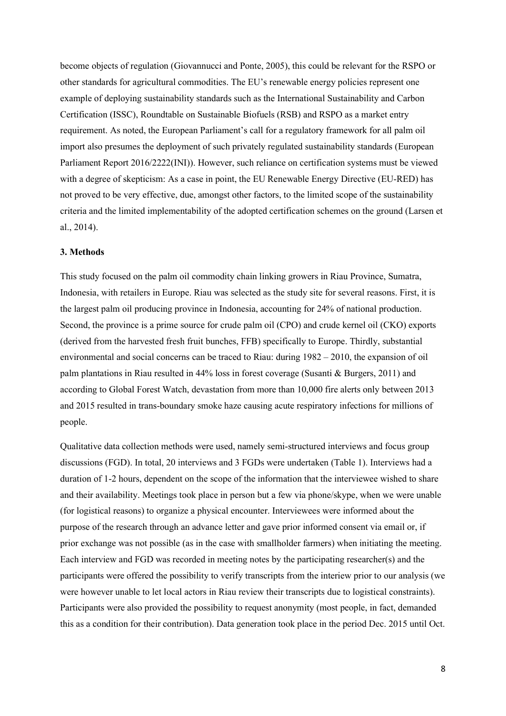become objects of regulation (Giovannucci and Ponte, 2005), this could be relevant for the RSPO or other standards for agricultural commodities. The EU's renewable energy policies represent one example of deploying sustainability standards such as the International Sustainability and Carbon Certification (ISSC), Roundtable on Sustainable Biofuels (RSB) and RSPO as a market entry requirement. As noted, the European Parliament's call for a regulatory framework for all palm oil import also presumes the deployment of such privately regulated sustainability standards (European Parliament Report 2016/2222(INI)). However, such reliance on certification systems must be viewed with a degree of skepticism: As a case in point, the EU Renewable Energy Directive (EU-RED) has not proved to be very effective, due, amongst other factors, to the limited scope of the sustainability criteria and the limited implementability of the adopted certification schemes on the ground (Larsen et al., 2014).

#### 3. Methods

This study focused on the palm oil commodity chain linking growers in Riau Province, Sumatra, Indonesia, with retailers in Europe. Riau was selected as the study site for several reasons. First, it is the largest palm oil producing province in Indonesia, accounting for 24% of national production. Second, the province is a prime source for crude palm oil (CPO) and crude kernel oil (CKO) exports (derived from the harvested fresh fruit bunches, FFB) specifically to Europe. Thirdly, substantial environmental and social concerns can be traced to Riau: during 1982 – 2010, the expansion of oil palm plantations in Riau resulted in 44% loss in forest coverage (Susanti & Burgers, 2011) and according to Global Forest Watch, devastation from more than 10,000 fire alerts only between 2013 and 2015 resulted in trans-boundary smoke haze causing acute respiratory infections for millions of people.

Qualitative data collection methods were used, namely semi-structured interviews and focus group discussions (FGD). In total, 20 interviews and 3 FGDs were undertaken (Table 1). Interviews had a duration of 1-2 hours, dependent on the scope of the information that the interviewee wished to share and their availability. Meetings took place in person but a few via phone/skype, when we were unable (for logistical reasons) to organize a physical encounter. Interviewees were informed about the purpose of the research through an advance letter and gave prior informed consent via email or, if prior exchange was not possible (as in the case with smallholder farmers) when initiating the meeting. Each interview and FGD was recorded in meeting notes by the participating researcher(s) and the participants were offered the possibility to verify transcripts from the interiew prior to our analysis (we were however unable to let local actors in Riau review their transcripts due to logistical constraints). Participants were also provided the possibility to request anonymity (most people, in fact, demanded this as a condition for their contribution). Data generation took place in the period Dec. 2015 until Oct.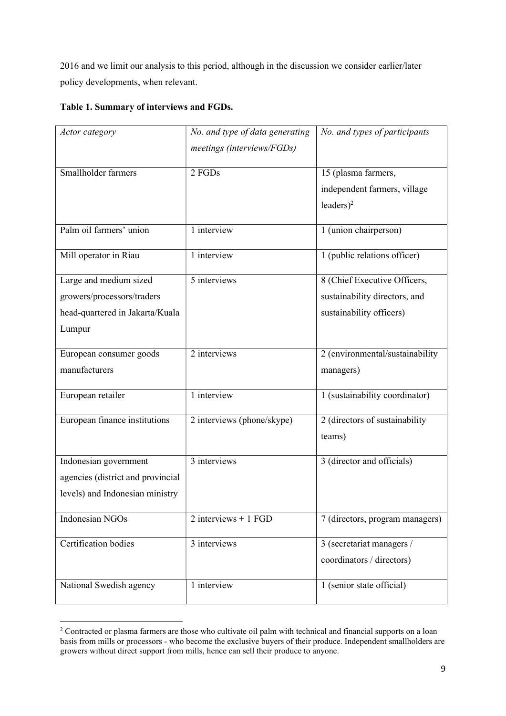2016 and we limit our analysis to this period, although in the discussion we consider earlier/later policy developments, when relevant.

| Table 1. Summary of interviews and FGDs. |
|------------------------------------------|
|------------------------------------------|

| Actor category                    | No. and type of data generating | No. and types of participants   |
|-----------------------------------|---------------------------------|---------------------------------|
|                                   | meetings (interviews/FGDs)      |                                 |
|                                   |                                 |                                 |
| Smallholder farmers               | 2 FGDs                          | 15 (plasma farmers,             |
|                                   |                                 | independent farmers, village    |
|                                   |                                 | leaders $)^2$                   |
| Palm oil farmers' union           | 1 interview                     | 1 (union chairperson)           |
| Mill operator in Riau             | 1 interview                     | 1 (public relations officer)    |
| Large and medium sized            | 5 interviews                    | 8 (Chief Executive Officers,    |
| growers/processors/traders        |                                 | sustainability directors, and   |
| head-quartered in Jakarta/Kuala   |                                 | sustainability officers)        |
| Lumpur                            |                                 |                                 |
| European consumer goods           | 2 interviews                    | 2 (environmental/sustainability |
| manufacturers                     |                                 | managers)                       |
| European retailer                 | 1 interview                     | 1 (sustainability coordinator)  |
| European finance institutions     | 2 interviews (phone/skype)      | 2 (directors of sustainability  |
|                                   |                                 | teams)                          |
| Indonesian government             | 3 interviews                    | 3 (director and officials)      |
| agencies (district and provincial |                                 |                                 |
| levels) and Indonesian ministry   |                                 |                                 |
| <b>Indonesian NGOs</b>            | $2$ interviews + 1 FGD          | 7 (directors, program managers) |
| Certification bodies              | 3 interviews                    | 3 (secretariat managers /       |
|                                   |                                 | coordinators / directors)       |
| National Swedish agency           | 1 interview                     | 1 (senior state official)       |

<sup>&</sup>lt;sup>2</sup> Contracted or plasma farmers are those who cultivate oil palm with technical and financial supports on a loan basis from mills or processors - who become the exclusive buyers of their produce. Independent smallholders are growers without direct support from mills, hence can sell their produce to anyone.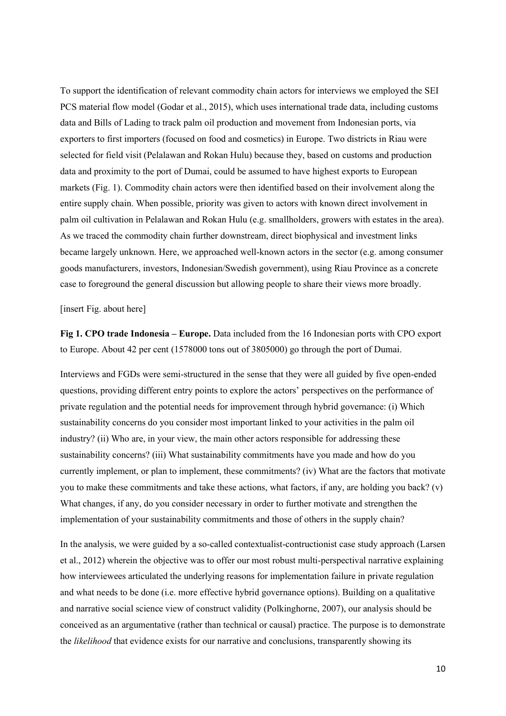To support the identification of relevant commodity chain actors for interviews we employed the SEI PCS material flow model (Godar et al., 2015), which uses international trade data, including customs data and Bills of Lading to track palm oil production and movement from Indonesian ports, via exporters to first importers (focused on food and cosmetics) in Europe. Two districts in Riau were selected for field visit (Pelalawan and Rokan Hulu) because they, based on customs and production data and proximity to the port of Dumai, could be assumed to have highest exports to European markets (Fig. 1). Commodity chain actors were then identified based on their involvement along the entire supply chain. When possible, priority was given to actors with known direct involvement in palm oil cultivation in Pelalawan and Rokan Hulu (e.g. smallholders, growers with estates in the area). As we traced the commodity chain further downstream, direct biophysical and investment links became largely unknown. Here, we approached well-known actors in the sector (e.g. among consumer goods manufacturers, investors, Indonesian/Swedish government), using Riau Province as a concrete case to foreground the general discussion but allowing people to share their views more broadly.

[insert Fig. about here]

Fig 1. CPO trade Indonesia – Europe. Data included from the 16 Indonesian ports with CPO export to Europe. About 42 per cent (1578000 tons out of 3805000) go through the port of Dumai.

Interviews and FGDs were semi-structured in the sense that they were all guided by five open-ended questions, providing different entry points to explore the actors' perspectives on the performance of private regulation and the potential needs for improvement through hybrid governance: (i) Which sustainability concerns do you consider most important linked to your activities in the palm oil industry? (ii) Who are, in your view, the main other actors responsible for addressing these sustainability concerns? (iii) What sustainability commitments have you made and how do you currently implement, or plan to implement, these commitments? (iv) What are the factors that motivate you to make these commitments and take these actions, what factors, if any, are holding you back? (v) What changes, if any, do you consider necessary in order to further motivate and strengthen the implementation of your sustainability commitments and those of others in the supply chain?

In the analysis, we were guided by a so-called contextualist-contructionist case study approach (Larsen et al., 2012) wherein the objective was to offer our most robust multi-perspectival narrative explaining how interviewees articulated the underlying reasons for implementation failure in private regulation and what needs to be done (i.e. more effective hybrid governance options). Building on a qualitative and narrative social science view of construct validity (Polkinghorne, 2007), our analysis should be conceived as an argumentative (rather than technical or causal) practice. The purpose is to demonstrate the *likelihood* that evidence exists for our narrative and conclusions, transparently showing its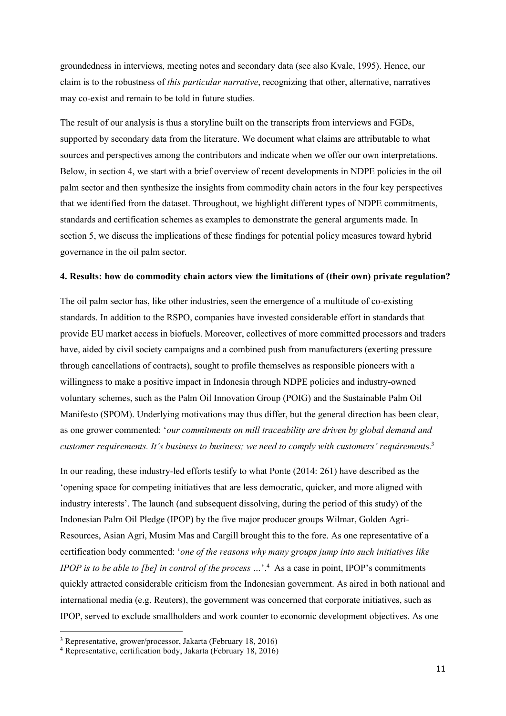groundedness in interviews, meeting notes and secondary data (see also Kvale, 1995). Hence, our claim is to the robustness of *this particular narrative*, recognizing that other, alternative, narratives may co-exist and remain to be told in future studies.

The result of our analysis is thus a storyline built on the transcripts from interviews and FGDs, supported by secondary data from the literature. We document what claims are attributable to what sources and perspectives among the contributors and indicate when we offer our own interpretations. Below, in section 4, we start with a brief overview of recent developments in NDPE policies in the oil palm sector and then synthesize the insights from commodity chain actors in the four key perspectives that we identified from the dataset. Throughout, we highlight different types of NDPE commitments, standards and certification schemes as examples to demonstrate the general arguments made. In section 5, we discuss the implications of these findings for potential policy measures toward hybrid governance in the oil palm sector.

#### 4. Results: how do commodity chain actors view the limitations of (their own) private regulation?

The oil palm sector has, like other industries, seen the emergence of a multitude of co-existing standards. In addition to the RSPO, companies have invested considerable effort in standards that provide EU market access in biofuels. Moreover, collectives of more committed processors and traders have, aided by civil society campaigns and a combined push from manufacturers (exerting pressure through cancellations of contracts), sought to profile themselves as responsible pioneers with a willingness to make a positive impact in Indonesia through NDPE policies and industry-owned voluntary schemes, such as the Palm Oil Innovation Group (POIG) and the Sustainable Palm Oil Manifesto (SPOM). Underlying motivations may thus differ, but the general direction has been clear, as one grower commented: 'our commitments on mill traceability are driven by global demand and customer requirements. It's business to business; we need to comply with customers' requirements.<sup>3</sup>

In our reading, these industry-led efforts testify to what Ponte (2014: 261) have described as the 'opening space for competing initiatives that are less democratic, quicker, and more aligned with industry interests'. The launch (and subsequent dissolving, during the period of this study) of the Indonesian Palm Oil Pledge (IPOP) by the five major producer groups Wilmar, Golden Agri-Resources, Asian Agri, Musim Mas and Cargill brought this to the fore. As one representative of a certification body commented: 'one of the reasons why many groups jump into such initiatives like IPOP is to be able to [be] in control of the process  $\ldots$ .<sup>4</sup> As a case in point, IPOP's commitments quickly attracted considerable criticism from the Indonesian government. As aired in both national and international media (e.g. Reuters), the government was concerned that corporate initiatives, such as IPOP, served to exclude smallholders and work counter to economic development objectives. As one

<sup>3</sup> Representative, grower/processor, Jakarta (February 18, 2016)

<sup>4</sup> Representative, certification body, Jakarta (February 18, 2016)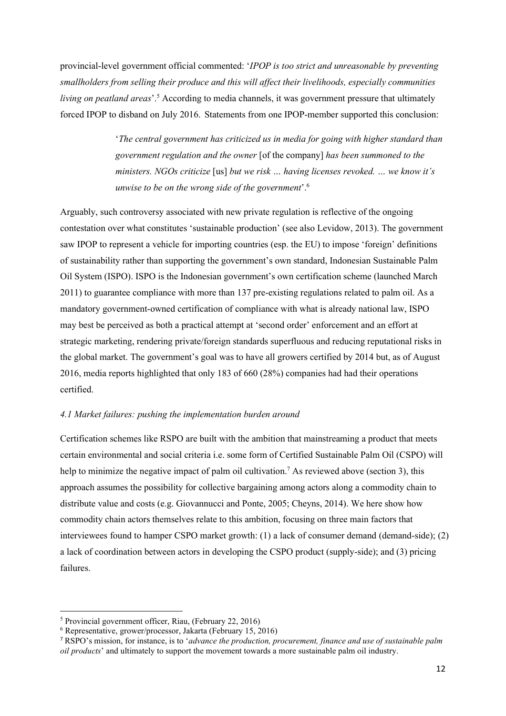provincial-level government official commented: 'IPOP is too strict and unreasonable by preventing smallholders from selling their produce and this will affect their livelihoods, especially communities living on peatland areas'.<sup>5</sup> According to media channels, it was government pressure that ultimately forced IPOP to disband on July 2016. Statements from one IPOP-member supported this conclusion:

> 'The central government has criticized us in media for going with higher standard than government regulation and the owner [of the company] has been summoned to the ministers. NGOs criticize [us] but we risk … having licenses revoked. … we know it's unwise to be on the wrong side of the government'.<sup>6</sup>

Arguably, such controversy associated with new private regulation is reflective of the ongoing contestation over what constitutes 'sustainable production' (see also Levidow, 2013). The government saw IPOP to represent a vehicle for importing countries (esp. the EU) to impose 'foreign' definitions of sustainability rather than supporting the government's own standard, Indonesian Sustainable Palm Oil System (ISPO). ISPO is the Indonesian government's own certification scheme (launched March 2011) to guarantee compliance with more than 137 pre-existing regulations related to palm oil. As a mandatory government-owned certification of compliance with what is already national law, ISPO may best be perceived as both a practical attempt at 'second order' enforcement and an effort at strategic marketing, rendering private/foreign standards superfluous and reducing reputational risks in the global market. The government's goal was to have all growers certified by 2014 but, as of August 2016, media reports highlighted that only 183 of 660 (28%) companies had had their operations certified.

# 4.1 Market failures: pushing the implementation burden around

Certification schemes like RSPO are built with the ambition that mainstreaming a product that meets certain environmental and social criteria i.e. some form of Certified Sustainable Palm Oil (CSPO) will help to minimize the negative impact of palm oil cultivation.<sup>7</sup> As reviewed above (section 3), this approach assumes the possibility for collective bargaining among actors along a commodity chain to distribute value and costs (e.g. Giovannucci and Ponte, 2005; Cheyns, 2014). We here show how commodity chain actors themselves relate to this ambition, focusing on three main factors that interviewees found to hamper CSPO market growth: (1) a lack of consumer demand (demand-side); (2) a lack of coordination between actors in developing the CSPO product (supply-side); and (3) pricing failures.

<sup>5</sup> Provincial government officer, Riau, (February 22, 2016)

<sup>6</sup> Representative, grower/processor, Jakarta (February 15, 2016)

<sup>&</sup>lt;sup>7</sup> RSPO's mission, for instance, is to 'advance the production, procurement, finance and use of sustainable palm oil products' and ultimately to support the movement towards a more sustainable palm oil industry.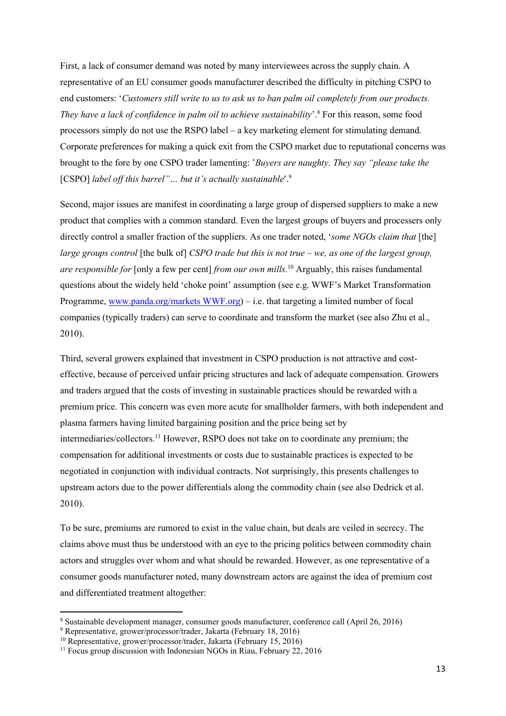First, a lack of consumer demand was noted by many interviewees across the supply chain. A representative of an EU consumer goods manufacturer described the difficulty in pitching CSPO to end customers: 'Customers still write to us to ask us to ban palm oil completely from our products. They have a lack of confidence in palm oil to achieve sustainability'.<sup>8</sup> For this reason, some food processors simply do not use the RSPO label – a key marketing element for stimulating demand. Corporate preferences for making a quick exit from the CSPO market due to reputational concerns was brought to the fore by one CSPO trader lamenting: 'Buyers are naughty. They say "please take the [CSPO] label off this barrel"... but it's actually sustainable'.<sup>9</sup>

Second, major issues are manifest in coordinating a large group of dispersed suppliers to make a new product that complies with a common standard. Even the largest groups of buyers and processers only directly control a smaller fraction of the suppliers. As one trader noted, 'some NGOs claim that [the] large groups control [the bulk of] CSPO trade but this is not true – we, as one of the largest group, are responsible for [only a few per cent] from our own mills.<sup>10</sup> Arguably, this raises fundamental questions about the widely held 'choke point' assumption (see e.g. WWF's Market Transformation Programme, www.panda.org/markets WWF.org) – i.e. that targeting a limited number of focal companies (typically traders) can serve to coordinate and transform the market (see also Zhu et al., 2010).

Third, several growers explained that investment in CSPO production is not attractive and costeffective, because of perceived unfair pricing structures and lack of adequate compensation. Growers and traders argued that the costs of investing in sustainable practices should be rewarded with a premium price. This concern was even more acute for smallholder farmers, with both independent and plasma farmers having limited bargaining position and the price being set by intermediaries/collectors.<sup>11</sup> However, RSPO does not take on to coordinate any premium; the compensation for additional investments or costs due to sustainable practices is expected to be negotiated in conjunction with individual contracts. Not surprisingly, this presents challenges to upstream actors due to the power differentials along the commodity chain (see also Dedrick et al. 2010).

To be sure, premiums are rumored to exist in the value chain, but deals are veiled in secrecy. The claims above must thus be understood with an eye to the pricing politics between commodity chain actors and struggles over whom and what should be rewarded. However, as one representative of a consumer goods manufacturer noted, many downstream actors are against the idea of premium cost and differentiated treatment altogether:

<sup>8</sup> Sustainable development manager, consumer goods manufacturer, conference call (April 26, 2016)

<sup>9</sup> Representative, grower/processor/trader, Jakarta (February 18, 2016)

<sup>10</sup> Representative, grower/processor/trader, Jakarta (February 15, 2016)

<sup>&</sup>lt;sup>11</sup> Focus group discussion with Indonesian NGOs in Riau, February 22, 2016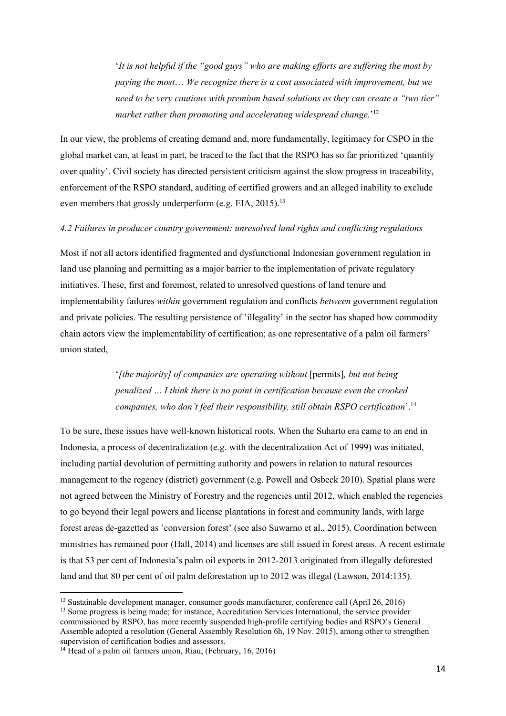'It is not helpful if the "good guys" who are making efforts are suffering the most by paying the most… We recognize there is a cost associated with improvement, but we need to be very cautious with premium based solutions as they can create a "two tier" market rather than promoting and accelerating widespread change.<sup>'12</sup>

In our view, the problems of creating demand and, more fundamentally, legitimacy for CSPO in the global market can, at least in part, be traced to the fact that the RSPO has so far prioritized 'quantity over quality'. Civil society has directed persistent criticism against the slow progress in traceability, enforcement of the RSPO standard, auditing of certified growers and an alleged inability to exclude even members that grossly underperform (e.g. EIA, 2015).<sup>13</sup>

#### 4.2 Failures in producer country government: unresolved land rights and conflicting regulations

Most if not all actors identified fragmented and dysfunctional Indonesian government regulation in land use planning and permitting as a major barrier to the implementation of private regulatory initiatives. These, first and foremost, related to unresolved questions of land tenure and implementability failures within government regulation and conflicts between government regulation and private policies. The resulting persistence of 'illegality' in the sector has shaped how commodity chain actors view the implementability of certification; as one representative of a palm oil farmers' union stated,

> '[the majority] of companies are operating without [permits], but not being penalized … I think there is no point in certification because even the crooked companies, who don't feel their responsibility, still obtain RSPO certification'.<sup>14</sup>

To be sure, these issues have well-known historical roots. When the Suharto era came to an end in Indonesia, a process of decentralization (e.g. with the decentralization Act of 1999) was initiated, including partial devolution of permitting authority and powers in relation to natural resources management to the regency (district) government (e.g. Powell and Osbeck 2010). Spatial plans were not agreed between the Ministry of Forestry and the regencies until 2012, which enabled the regencies to go beyond their legal powers and license plantations in forest and community lands, with large forest areas de-gazetted as 'conversion forest' (see also Suwarno et al., 2015). Coordination between ministries has remained poor (Hall, 2014) and licenses are still issued in forest areas. A recent estimate is that 53 per cent of Indonesia's palm oil exports in 2012-2013 originated from illegally deforested land and that 80 per cent of oil palm deforestation up to 2012 was illegal (Lawson, 2014:135).

<sup>13</sup> Some progress is being made; for instance, Accreditation Services International, the service provider commissioned by RSPO, has more recently suspended high-profile certifying bodies and RSPO's General Assemble adopted a resolution (General Assembly Resolution 6h, 19 Nov. 2015), among other to strengthen supervision of certification bodies and assessors.

<sup>&</sup>lt;sup>12</sup> Sustainable development manager, consumer goods manufacturer, conference call (April 26, 2016)

 $14$  Head of a palm oil farmers union, Riau, (February, 16, 2016)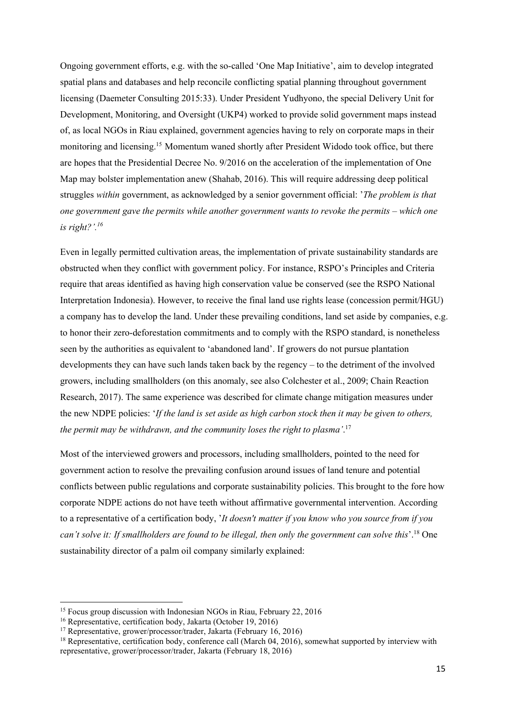Ongoing government efforts, e.g. with the so-called 'One Map Initiative', aim to develop integrated spatial plans and databases and help reconcile conflicting spatial planning throughout government licensing (Daemeter Consulting 2015:33). Under President Yudhyono, the special Delivery Unit for Development, Monitoring, and Oversight (UKP4) worked to provide solid government maps instead of, as local NGOs in Riau explained, government agencies having to rely on corporate maps in their monitoring and licensing.<sup>15</sup> Momentum waned shortly after President Widodo took office, but there are hopes that the Presidential Decree No. 9/2016 on the acceleration of the implementation of One Map may bolster implementation anew (Shahab, 2016). This will require addressing deep political struggles within government, as acknowledged by a senior government official: 'The problem is that one government gave the permits while another government wants to revoke the permits – which one is right?'.<sup>16</sup>

Even in legally permitted cultivation areas, the implementation of private sustainability standards are obstructed when they conflict with government policy. For instance, RSPO's Principles and Criteria require that areas identified as having high conservation value be conserved (see the RSPO National Interpretation Indonesia). However, to receive the final land use rights lease (concession permit/HGU) a company has to develop the land. Under these prevailing conditions, land set aside by companies, e.g. to honor their zero-deforestation commitments and to comply with the RSPO standard, is nonetheless seen by the authorities as equivalent to 'abandoned land'. If growers do not pursue plantation developments they can have such lands taken back by the regency – to the detriment of the involved growers, including smallholders (on this anomaly, see also Colchester et al., 2009; Chain Reaction Research, 2017). The same experience was described for climate change mitigation measures under the new NDPE policies: 'If the land is set aside as high carbon stock then it may be given to others, the permit may be withdrawn, and the community loses the right to plasma'.<sup>17</sup>

Most of the interviewed growers and processors, including smallholders, pointed to the need for government action to resolve the prevailing confusion around issues of land tenure and potential conflicts between public regulations and corporate sustainability policies. This brought to the fore how corporate NDPE actions do not have teeth without affirmative governmental intervention. According to a representative of a certification body, 'It doesn't matter if you know who you source from if you can't solve it: If smallholders are found to be illegal, then only the government can solve this'.<sup>18</sup> One sustainability director of a palm oil company similarly explained:

<sup>&</sup>lt;sup>15</sup> Focus group discussion with Indonesian NGOs in Riau, February 22, 2016

<sup>16</sup> Representative, certification body, Jakarta (October 19, 2016)

<sup>&</sup>lt;sup>17</sup> Representative, grower/processor/trader, Jakarta (February 16, 2016)

<sup>&</sup>lt;sup>18</sup> Representative, certification body, conference call (March 04, 2016), somewhat supported by interview with representative, grower/processor/trader, Jakarta (February 18, 2016)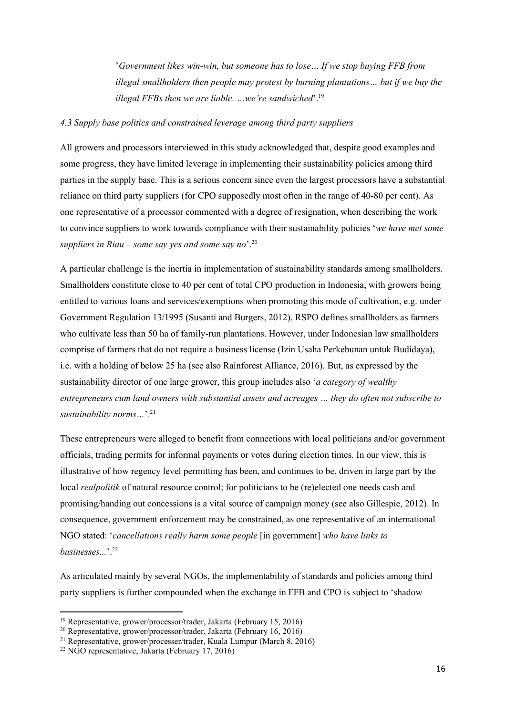'Government likes win-win, but someone has to lose… If we stop buying FFB from illegal smallholders then people may protest by burning plantations… but if we buy the illegal FFBs then we are liable. ...we're sandwiched'.<sup>19</sup>

#### 4.3 Supply base politics and constrained leverage among third party suppliers

All growers and processors interviewed in this study acknowledged that, despite good examples and some progress, they have limited leverage in implementing their sustainability policies among third parties in the supply base. This is a serious concern since even the largest processors have a substantial reliance on third party suppliers (for CPO supposedly most often in the range of 40-80 per cent). As one representative of a processor commented with a degree of resignation, when describing the work to convince suppliers to work towards compliance with their sustainability policies 'we have met some suppliers in Riau – some say yes and some say no'.<sup>20</sup>

A particular challenge is the inertia in implementation of sustainability standards among smallholders. Smallholders constitute close to 40 per cent of total CPO production in Indonesia, with growers being entitled to various loans and services/exemptions when promoting this mode of cultivation, e.g. under Government Regulation 13/1995 (Susanti and Burgers, 2012). RSPO defines smallholders as farmers who cultivate less than 50 ha of family-run plantations. However, under Indonesian law smallholders comprise of farmers that do not require a business license (Izin Usaha Perkebunan untuk Budidaya), i.e. with a holding of below 25 ha (see also Rainforest Alliance, 2016). But, as expressed by the sustainability director of one large grower, this group includes also '*a category of wealthy* entrepreneurs cum land owners with substantial assets and acreages … they do often not subscribe to sustainability norms...'.<sup>21</sup>

These entrepreneurs were alleged to benefit from connections with local politicians and/or government officials, trading permits for informal payments or votes during election times. In our view, this is illustrative of how regency level permitting has been, and continues to be, driven in large part by the local *realpolitik* of natural resource control; for politicians to be (re)elected one needs cash and promising/handing out concessions is a vital source of campaign money (see also Gillespie, 2012). In consequence, government enforcement may be constrained, as one representative of an international NGO stated: 'cancellations really harm some people [in government] who have links to businesses...'.<sup>22</sup>

As articulated mainly by several NGOs, the implementability of standards and policies among third party suppliers is further compounded when the exchange in FFB and CPO is subject to 'shadow

<sup>19</sup> Representative, grower/processor/trader, Jakarta (February 15, 2016)

<sup>20</sup> Representative, grower/processor/trader, Jakarta (February 16, 2016)

<sup>21</sup> Representative, grower/processer/trader, Kuala Lumpur (March 8, 2016)

<sup>22</sup> NGO representative, Jakarta (February 17, 2016)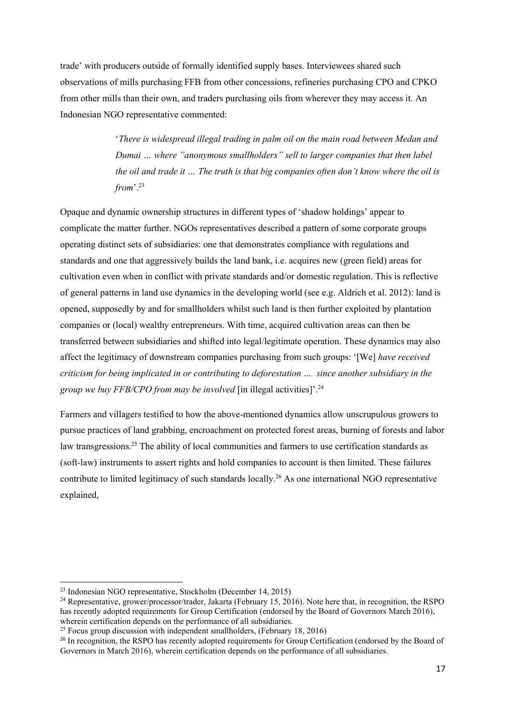trade' with producers outside of formally identified supply bases. Interviewees shared such observations of mills purchasing FFB from other concessions, refineries purchasing CPO and CPKO from other mills than their own, and traders purchasing oils from wherever they may access it. An Indonesian NGO representative commented:

> 'There is widespread illegal trading in palm oil on the main road between Medan and Dumai … where "anonymous smallholders" sell to larger companies that then label the oil and trade it … The truth is that big companies often don't know where the oil is from'.<sup>23</sup>

Opaque and dynamic ownership structures in different types of 'shadow holdings' appear to complicate the matter further. NGOs representatives described a pattern of some corporate groups operating distinct sets of subsidiaries: one that demonstrates compliance with regulations and standards and one that aggressively builds the land bank, i.e. acquires new (green field) areas for cultivation even when in conflict with private standards and/or domestic regulation. This is reflective of general patterns in land use dynamics in the developing world (see e.g. Aldrich et al. 2012): land is opened, supposedly by and for smallholders whilst such land is then further exploited by plantation companies or (local) wealthy entrepreneurs. With time, acquired cultivation areas can then be transferred between subsidiaries and shifted into legal/legitimate operation. These dynamics may also affect the legitimacy of downstream companies purchasing from such groups: '[We] have received criticism for being implicated in or contributing to deforestation … since another subsidiary in the group we buy FFB/CPO from may be involved [in illegal activities]'.<sup>24</sup>

Farmers and villagers testified to how the above-mentioned dynamics allow unscrupulous growers to pursue practices of land grabbing, encroachment on protected forest areas, burning of forests and labor law transgressions.<sup>25</sup> The ability of local communities and farmers to use certification standards as (soft-law) instruments to assert rights and hold companies to account is then limited. These failures contribute to limited legitimacy of such standards locally.<sup>26</sup> As one international NGO representative explained,

<sup>23</sup> Indonesian NGO representative, Stockholm (December 14, 2015)

<sup>&</sup>lt;sup>24</sup> Representative, grower/processor/trader, Jakarta (February 15, 2016). Note here that, in recognition, the RSPO has recently adopted requirements for Group Certification (endorsed by the Board of Governors March 2016), wherein certification depends on the performance of all subsidiaries.

 $25$  Focus group discussion with independent smallholders, (February 18, 2016)

<sup>&</sup>lt;sup>26</sup> In recognition, the RSPO has recently adopted requirements for Group Certification (endorsed by the Board of Governors in March 2016), wherein certification depends on the performance of all subsidiaries.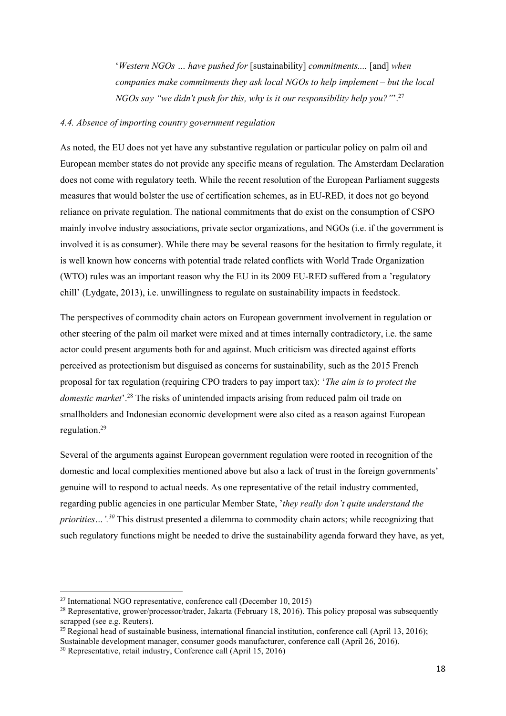'Western NGOs … have pushed for [sustainability] commitments.... [and] when companies make commitments they ask local NGOs to help implement – but the local NGOs say "we didn't push for this, why is it our responsibility help you?"'.<sup>27</sup>

#### 4.4. Absence of importing country government regulation

As noted, the EU does not yet have any substantive regulation or particular policy on palm oil and European member states do not provide any specific means of regulation. The Amsterdam Declaration does not come with regulatory teeth. While the recent resolution of the European Parliament suggests measures that would bolster the use of certification schemes, as in EU-RED, it does not go beyond reliance on private regulation. The national commitments that do exist on the consumption of CSPO mainly involve industry associations, private sector organizations, and NGOs (i.e. if the government is involved it is as consumer). While there may be several reasons for the hesitation to firmly regulate, it is well known how concerns with potential trade related conflicts with World Trade Organization (WTO) rules was an important reason why the EU in its 2009 EU-RED suffered from a 'regulatory chill' (Lydgate, 2013), i.e. unwillingness to regulate on sustainability impacts in feedstock.

The perspectives of commodity chain actors on European government involvement in regulation or other steering of the palm oil market were mixed and at times internally contradictory, i.e. the same actor could present arguments both for and against. Much criticism was directed against efforts perceived as protectionism but disguised as concerns for sustainability, such as the 2015 French proposal for tax regulation (requiring CPO traders to pay import tax): 'The aim is to protect the domestic market<sup>2.28</sup> The risks of unintended impacts arising from reduced palm oil trade on smallholders and Indonesian economic development were also cited as a reason against European regulation.<sup>29</sup>

Several of the arguments against European government regulation were rooted in recognition of the domestic and local complexities mentioned above but also a lack of trust in the foreign governments' genuine will to respond to actual needs. As one representative of the retail industry commented, regarding public agencies in one particular Member State, 'they really don't quite understand the priorities...'.<sup>30</sup> This distrust presented a dilemma to commodity chain actors; while recognizing that such regulatory functions might be needed to drive the sustainability agenda forward they have, as yet,

<sup>&</sup>lt;sup>27</sup> International NGO representative, conference call (December 10, 2015)

<sup>&</sup>lt;sup>28</sup> Representative, grower/processor/trader, Jakarta (February 18, 2016). This policy proposal was subsequently scrapped (see e.g. Reuters).

 $29$  Regional head of sustainable business, international financial institution, conference call (April 13, 2016);

Sustainable development manager, consumer goods manufacturer, conference call (April 26, 2016).

<sup>30</sup> Representative, retail industry, Conference call (April 15, 2016)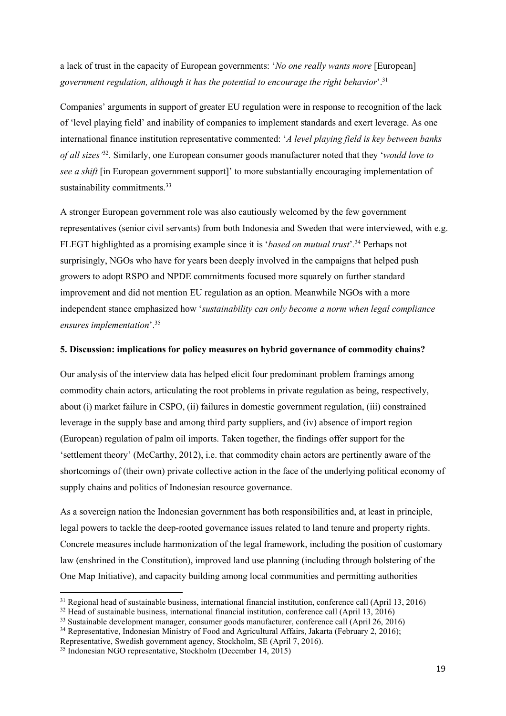a lack of trust in the capacity of European governments: 'No one really wants more [European] government regulation, although it has the potential to encourage the right behavior'.<sup>31</sup>

Companies' arguments in support of greater EU regulation were in response to recognition of the lack of 'level playing field' and inability of companies to implement standards and exert leverage. As one international finance institution representative commented: 'A level playing field is key between banks of all sizes<sup>32</sup>. Similarly, one European consumer goods manufacturer noted that they 'would love to see a shift [in European government support]' to more substantially encouraging implementation of sustainability commitments.<sup>33</sup>

A stronger European government role was also cautiously welcomed by the few government representatives (senior civil servants) from both Indonesia and Sweden that were interviewed, with e.g. FLEGT highlighted as a promising example since it is 'based on mutual trust'.<sup>34</sup> Perhaps not surprisingly, NGOs who have for years been deeply involved in the campaigns that helped push growers to adopt RSPO and NPDE commitments focused more squarely on further standard improvement and did not mention EU regulation as an option. Meanwhile NGOs with a more independent stance emphasized how 'sustainability can only become a norm when legal compliance ensures implementation'.<sup>35</sup>

#### 5. Discussion: implications for policy measures on hybrid governance of commodity chains?

Our analysis of the interview data has helped elicit four predominant problem framings among commodity chain actors, articulating the root problems in private regulation as being, respectively, about (i) market failure in CSPO, (ii) failures in domestic government regulation, (iii) constrained leverage in the supply base and among third party suppliers, and (iv) absence of import region (European) regulation of palm oil imports. Taken together, the findings offer support for the 'settlement theory' (McCarthy, 2012), i.e. that commodity chain actors are pertinently aware of the shortcomings of (their own) private collective action in the face of the underlying political economy of supply chains and politics of Indonesian resource governance.

As a sovereign nation the Indonesian government has both responsibilities and, at least in principle, legal powers to tackle the deep-rooted governance issues related to land tenure and property rights. Concrete measures include harmonization of the legal framework, including the position of customary law (enshrined in the Constitution), improved land use planning (including through bolstering of the One Map Initiative), and capacity building among local communities and permitting authorities

 $31$  Regional head of sustainable business, international financial institution, conference call (April 13, 2016)

<sup>32</sup> Head of sustainable business, international financial institution, conference call (April 13, 2016)

<sup>&</sup>lt;sup>33</sup> Sustainable development manager, consumer goods manufacturer, conference call (April 26, 2016)

<sup>&</sup>lt;sup>34</sup> Representative, Indonesian Ministry of Food and Agricultural Affairs, Jakarta (February 2, 2016);

Representative, Swedish government agency, Stockholm, SE (April 7, 2016).

<sup>35</sup> Indonesian NGO representative, Stockholm (December 14, 2015)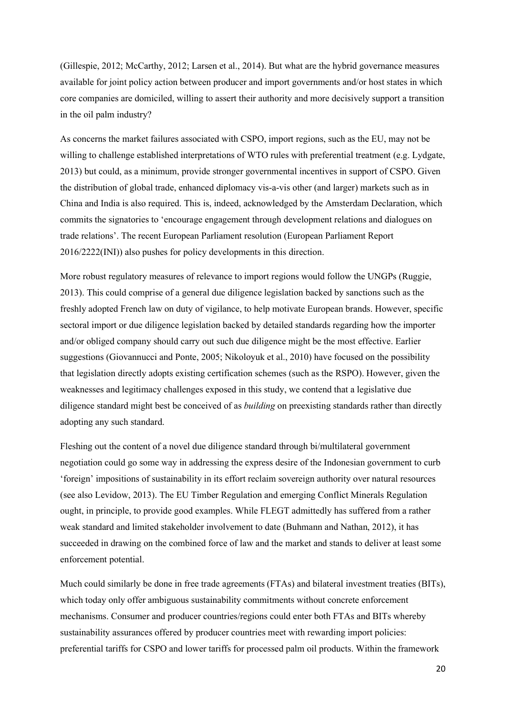(Gillespie, 2012; McCarthy, 2012; Larsen et al., 2014). But what are the hybrid governance measures available for joint policy action between producer and import governments and/or host states in which core companies are domiciled, willing to assert their authority and more decisively support a transition in the oil palm industry?

As concerns the market failures associated with CSPO, import regions, such as the EU, may not be willing to challenge established interpretations of WTO rules with preferential treatment (e.g. Lydgate, 2013) but could, as a minimum, provide stronger governmental incentives in support of CSPO. Given the distribution of global trade, enhanced diplomacy vis-a-vis other (and larger) markets such as in China and India is also required. This is, indeed, acknowledged by the Amsterdam Declaration, which commits the signatories to 'encourage engagement through development relations and dialogues on trade relations'. The recent European Parliament resolution (European Parliament Report 2016/2222(INI)) also pushes for policy developments in this direction.

More robust regulatory measures of relevance to import regions would follow the UNGPs (Ruggie, 2013). This could comprise of a general due diligence legislation backed by sanctions such as the freshly adopted French law on duty of vigilance, to help motivate European brands. However, specific sectoral import or due diligence legislation backed by detailed standards regarding how the importer and/or obliged company should carry out such due diligence might be the most effective. Earlier suggestions (Giovannucci and Ponte, 2005; Nikoloyuk et al., 2010) have focused on the possibility that legislation directly adopts existing certification schemes (such as the RSPO). However, given the weaknesses and legitimacy challenges exposed in this study, we contend that a legislative due diligence standard might best be conceived of as *building* on preexisting standards rather than directly adopting any such standard.

Fleshing out the content of a novel due diligence standard through bi/multilateral government negotiation could go some way in addressing the express desire of the Indonesian government to curb 'foreign' impositions of sustainability in its effort reclaim sovereign authority over natural resources (see also Levidow, 2013). The EU Timber Regulation and emerging Conflict Minerals Regulation ought, in principle, to provide good examples. While FLEGT admittedly has suffered from a rather weak standard and limited stakeholder involvement to date (Buhmann and Nathan, 2012), it has succeeded in drawing on the combined force of law and the market and stands to deliver at least some enforcement potential.

Much could similarly be done in free trade agreements (FTAs) and bilateral investment treaties (BITs), which today only offer ambiguous sustainability commitments without concrete enforcement mechanisms. Consumer and producer countries/regions could enter both FTAs and BITs whereby sustainability assurances offered by producer countries meet with rewarding import policies: preferential tariffs for CSPO and lower tariffs for processed palm oil products. Within the framework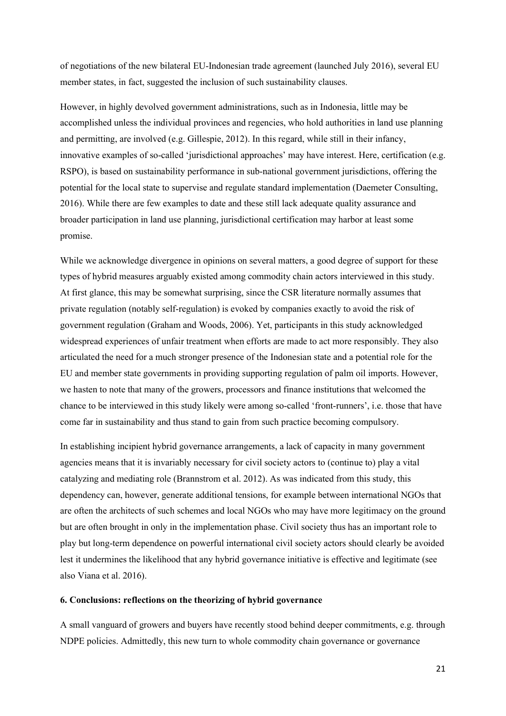of negotiations of the new bilateral EU-Indonesian trade agreement (launched July 2016), several EU member states, in fact, suggested the inclusion of such sustainability clauses.

However, in highly devolved government administrations, such as in Indonesia, little may be accomplished unless the individual provinces and regencies, who hold authorities in land use planning and permitting, are involved (e.g. Gillespie, 2012). In this regard, while still in their infancy, innovative examples of so-called 'jurisdictional approaches' may have interest. Here, certification (e.g. RSPO), is based on sustainability performance in sub-national government jurisdictions, offering the potential for the local state to supervise and regulate standard implementation (Daemeter Consulting, 2016). While there are few examples to date and these still lack adequate quality assurance and broader participation in land use planning, jurisdictional certification may harbor at least some promise.

While we acknowledge divergence in opinions on several matters, a good degree of support for these types of hybrid measures arguably existed among commodity chain actors interviewed in this study. At first glance, this may be somewhat surprising, since the CSR literature normally assumes that private regulation (notably self-regulation) is evoked by companies exactly to avoid the risk of government regulation (Graham and Woods, 2006). Yet, participants in this study acknowledged widespread experiences of unfair treatment when efforts are made to act more responsibly. They also articulated the need for a much stronger presence of the Indonesian state and a potential role for the EU and member state governments in providing supporting regulation of palm oil imports. However, we hasten to note that many of the growers, processors and finance institutions that welcomed the chance to be interviewed in this study likely were among so-called 'front-runners', i.e. those that have come far in sustainability and thus stand to gain from such practice becoming compulsory.

In establishing incipient hybrid governance arrangements, a lack of capacity in many government agencies means that it is invariably necessary for civil society actors to (continue to) play a vital catalyzing and mediating role (Brannstrom et al. 2012). As was indicated from this study, this dependency can, however, generate additional tensions, for example between international NGOs that are often the architects of such schemes and local NGOs who may have more legitimacy on the ground but are often brought in only in the implementation phase. Civil society thus has an important role to play but long-term dependence on powerful international civil society actors should clearly be avoided lest it undermines the likelihood that any hybrid governance initiative is effective and legitimate (see also Viana et al. 2016).

### 6. Conclusions: reflections on the theorizing of hybrid governance

A small vanguard of growers and buyers have recently stood behind deeper commitments, e.g. through NDPE policies. Admittedly, this new turn to whole commodity chain governance or governance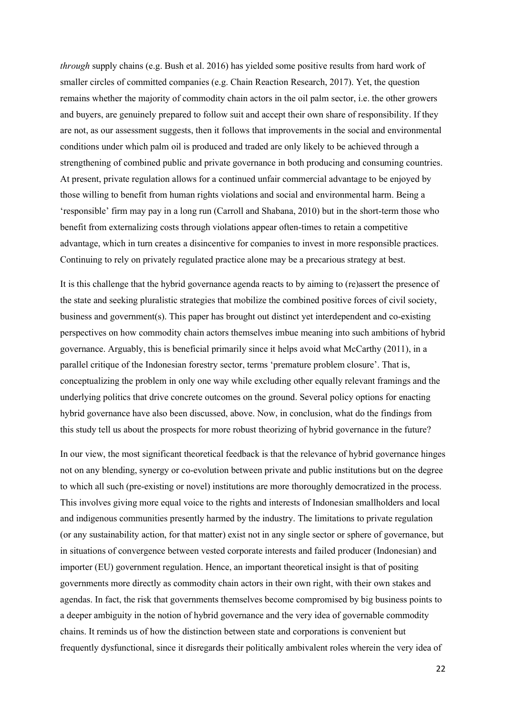through supply chains (e.g. Bush et al. 2016) has yielded some positive results from hard work of smaller circles of committed companies (e.g. Chain Reaction Research, 2017). Yet, the question remains whether the majority of commodity chain actors in the oil palm sector, i.e. the other growers and buyers, are genuinely prepared to follow suit and accept their own share of responsibility. If they are not, as our assessment suggests, then it follows that improvements in the social and environmental conditions under which palm oil is produced and traded are only likely to be achieved through a strengthening of combined public and private governance in both producing and consuming countries. At present, private regulation allows for a continued unfair commercial advantage to be enjoyed by those willing to benefit from human rights violations and social and environmental harm. Being a 'responsible' firm may pay in a long run (Carroll and Shabana, 2010) but in the short-term those who benefit from externalizing costs through violations appear often-times to retain a competitive advantage, which in turn creates a disincentive for companies to invest in more responsible practices. Continuing to rely on privately regulated practice alone may be a precarious strategy at best.

It is this challenge that the hybrid governance agenda reacts to by aiming to (re)assert the presence of the state and seeking pluralistic strategies that mobilize the combined positive forces of civil society, business and government(s). This paper has brought out distinct yet interdependent and co-existing perspectives on how commodity chain actors themselves imbue meaning into such ambitions of hybrid governance. Arguably, this is beneficial primarily since it helps avoid what McCarthy (2011), in a parallel critique of the Indonesian forestry sector, terms 'premature problem closure'. That is, conceptualizing the problem in only one way while excluding other equally relevant framings and the underlying politics that drive concrete outcomes on the ground. Several policy options for enacting hybrid governance have also been discussed, above. Now, in conclusion, what do the findings from this study tell us about the prospects for more robust theorizing of hybrid governance in the future?

In our view, the most significant theoretical feedback is that the relevance of hybrid governance hinges not on any blending, synergy or co-evolution between private and public institutions but on the degree to which all such (pre-existing or novel) institutions are more thoroughly democratized in the process. This involves giving more equal voice to the rights and interests of Indonesian smallholders and local and indigenous communities presently harmed by the industry. The limitations to private regulation (or any sustainability action, for that matter) exist not in any single sector or sphere of governance, but in situations of convergence between vested corporate interests and failed producer (Indonesian) and importer (EU) government regulation. Hence, an important theoretical insight is that of positing governments more directly as commodity chain actors in their own right, with their own stakes and agendas. In fact, the risk that governments themselves become compromised by big business points to a deeper ambiguity in the notion of hybrid governance and the very idea of governable commodity chains. It reminds us of how the distinction between state and corporations is convenient but frequently dysfunctional, since it disregards their politically ambivalent roles wherein the very idea of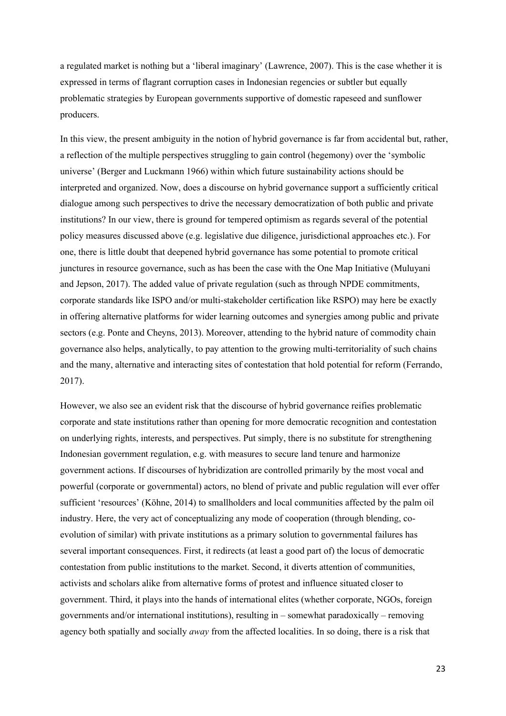a regulated market is nothing but a 'liberal imaginary' (Lawrence, 2007). This is the case whether it is expressed in terms of flagrant corruption cases in Indonesian regencies or subtler but equally problematic strategies by European governments supportive of domestic rapeseed and sunflower producers.

In this view, the present ambiguity in the notion of hybrid governance is far from accidental but, rather, a reflection of the multiple perspectives struggling to gain control (hegemony) over the 'symbolic universe' (Berger and Luckmann 1966) within which future sustainability actions should be interpreted and organized. Now, does a discourse on hybrid governance support a sufficiently critical dialogue among such perspectives to drive the necessary democratization of both public and private institutions? In our view, there is ground for tempered optimism as regards several of the potential policy measures discussed above (e.g. legislative due diligence, jurisdictional approaches etc.). For one, there is little doubt that deepened hybrid governance has some potential to promote critical junctures in resource governance, such as has been the case with the One Map Initiative (Muluyani and Jepson, 2017). The added value of private regulation (such as through NPDE commitments, corporate standards like ISPO and/or multi-stakeholder certification like RSPO) may here be exactly in offering alternative platforms for wider learning outcomes and synergies among public and private sectors (e.g. Ponte and Cheyns, 2013). Moreover, attending to the hybrid nature of commodity chain governance also helps, analytically, to pay attention to the growing multi-territoriality of such chains and the many, alternative and interacting sites of contestation that hold potential for reform (Ferrando, 2017).

However, we also see an evident risk that the discourse of hybrid governance reifies problematic corporate and state institutions rather than opening for more democratic recognition and contestation on underlying rights, interests, and perspectives. Put simply, there is no substitute for strengthening Indonesian government regulation, e.g. with measures to secure land tenure and harmonize government actions. If discourses of hybridization are controlled primarily by the most vocal and powerful (corporate or governmental) actors, no blend of private and public regulation will ever offer sufficient 'resources' (Köhne, 2014) to smallholders and local communities affected by the palm oil industry. Here, the very act of conceptualizing any mode of cooperation (through blending, coevolution of similar) with private institutions as a primary solution to governmental failures has several important consequences. First, it redirects (at least a good part of) the locus of democratic contestation from public institutions to the market. Second, it diverts attention of communities, activists and scholars alike from alternative forms of protest and influence situated closer to government. Third, it plays into the hands of international elites (whether corporate, NGOs, foreign governments and/or international institutions), resulting in – somewhat paradoxically – removing agency both spatially and socially *away* from the affected localities. In so doing, there is a risk that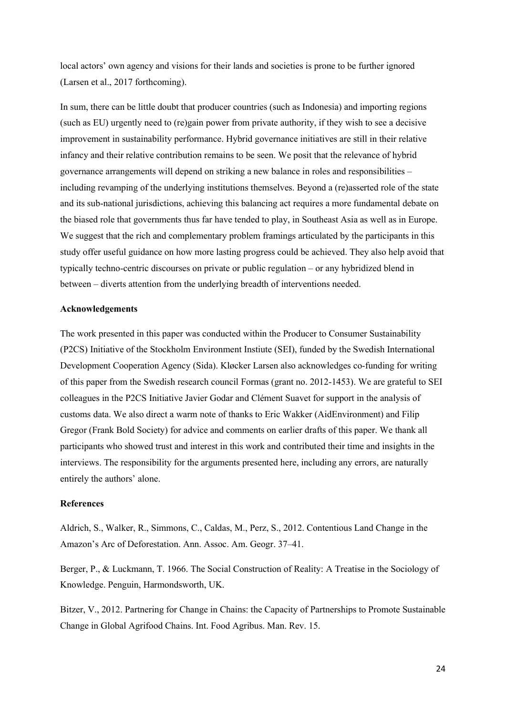local actors' own agency and visions for their lands and societies is prone to be further ignored (Larsen et al., 2017 forthcoming).

In sum, there can be little doubt that producer countries (such as Indonesia) and importing regions (such as EU) urgently need to (re)gain power from private authority, if they wish to see a decisive improvement in sustainability performance. Hybrid governance initiatives are still in their relative infancy and their relative contribution remains to be seen. We posit that the relevance of hybrid governance arrangements will depend on striking a new balance in roles and responsibilities – including revamping of the underlying institutions themselves. Beyond a (re)asserted role of the state and its sub-national jurisdictions, achieving this balancing act requires a more fundamental debate on the biased role that governments thus far have tended to play, in Southeast Asia as well as in Europe. We suggest that the rich and complementary problem framings articulated by the participants in this study offer useful guidance on how more lasting progress could be achieved. They also help avoid that typically techno-centric discourses on private or public regulation – or any hybridized blend in between – diverts attention from the underlying breadth of interventions needed.

#### Acknowledgements

The work presented in this paper was conducted within the Producer to Consumer Sustainability (P2CS) Initiative of the Stockholm Environment Instiute (SEI), funded by the Swedish International Development Cooperation Agency (Sida). Kløcker Larsen also acknowledges co-funding for writing of this paper from the Swedish research council Formas (grant no. 2012-1453). We are grateful to SEI colleagues in the P2CS Initiative Javier Godar and Clément Suavet for support in the analysis of customs data. We also direct a warm note of thanks to Eric Wakker (AidEnvironment) and Filip Gregor (Frank Bold Society) for advice and comments on earlier drafts of this paper. We thank all participants who showed trust and interest in this work and contributed their time and insights in the interviews. The responsibility for the arguments presented here, including any errors, are naturally entirely the authors' alone.

#### References

Aldrich, S., Walker, R., Simmons, C., Caldas, M., Perz, S., 2012. Contentious Land Change in the Amazon's Arc of Deforestation. Ann. Assoc. Am. Geogr. 37–41.

Berger, P., & Luckmann, T. 1966. The Social Construction of Reality: A Treatise in the Sociology of Knowledge. Penguin, Harmondsworth, UK.

Bitzer, V., 2012. Partnering for Change in Chains: the Capacity of Partnerships to Promote Sustainable Change in Global Agrifood Chains. Int. Food Agribus. Man. Rev. 15.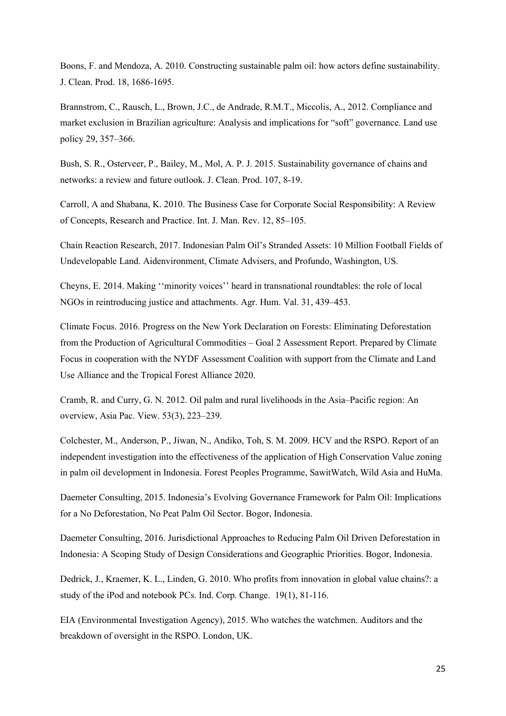Boons, F. and Mendoza, A. 2010. Constructing sustainable palm oil: how actors define sustainability. J. Clean. Prod. 18, 1686-1695.

Brannstrom, C., Rausch, L., Brown, J.C., de Andrade, R.M.T., Miccolis, A., 2012. Compliance and market exclusion in Brazilian agriculture: Analysis and implications for "soft" governance. Land use policy 29, 357–366.

Bush, S. R., Osterveer, P., Bailey, M., Mol, A. P. J. 2015. Sustainability governance of chains and networks: a review and future outlook. J. Clean. Prod. 107, 8-19.

Carroll, A and Shabana, K. 2010. The Business Case for Corporate Social Responsibility: A Review of Concepts, Research and Practice. Int. J. Man. Rev. 12, 85–105.

Chain Reaction Research, 2017. Indonesian Palm Oil's Stranded Assets: 10 Million Football Fields of Undevelopable Land. Aidenvironment, Climate Advisers, and Profundo, Washington, US.

Cheyns, E. 2014. Making ''minority voices'' heard in transnational roundtables: the role of local NGOs in reintroducing justice and attachments. Agr. Hum. Val. 31, 439–453.

Climate Focus. 2016. Progress on the New York Declaration on Forests: Eliminating Deforestation from the Production of Agricultural Commodities – Goal 2 Assessment Report. Prepared by Climate Focus in cooperation with the NYDF Assessment Coalition with support from the Climate and Land Use Alliance and the Tropical Forest Alliance 2020.

Cramb, R. and Curry, G. N. 2012. Oil palm and rural livelihoods in the Asia–Pacific region: An overview, Asia Pac. View. 53(3), 223–239.

Colchester, M., Anderson, P., Jiwan, N., Andiko, Toh, S. M. 2009. HCV and the RSPO. Report of an independent investigation into the effectiveness of the application of High Conservation Value zoning in palm oil development in Indonesia. Forest Peoples Programme, SawitWatch, Wild Asia and HuMa.

Daemeter Consulting, 2015. Indonesia's Evolving Governance Framework for Palm Oil: Implications for a No Deforestation, No Peat Palm Oil Sector. Bogor, Indonesia.

Daemeter Consulting, 2016. Jurisdictional Approaches to Reducing Palm Oil Driven Deforestation in Indonesia: A Scoping Study of Design Considerations and Geographic Priorities. Bogor, Indonesia.

Dedrick, J., Kraemer, K. L., Linden, G. 2010. Who profits from innovation in global value chains?: a study of the iPod and notebook PCs. Ind. Corp. Change. 19(1), 81-116.

EIA (Environmental Investigation Agency), 2015. Who watches the watchmen. Auditors and the breakdown of oversight in the RSPO. London, UK.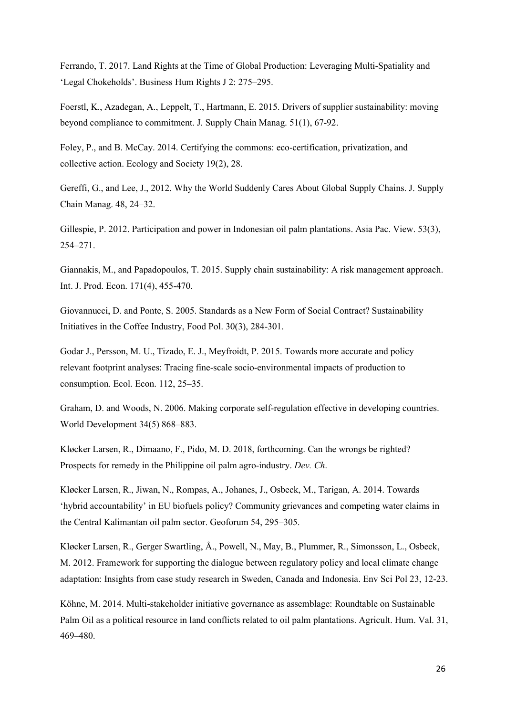Ferrando, T. 2017. Land Rights at the Time of Global Production: Leveraging Multi-Spatiality and 'Legal Chokeholds'. Business Hum Rights J 2: 275–295.

Foerstl, K., Azadegan, A., Leppelt, T., Hartmann, E. 2015. Drivers of supplier sustainability: moving beyond compliance to commitment. J. Supply Chain Manag. 51(1), 67-92.

Foley, P., and B. McCay. 2014. Certifying the commons: eco-certification, privatization, and collective action. Ecology and Society 19(2), 28.

Gereffi, G., and Lee, J., 2012. Why the World Suddenly Cares About Global Supply Chains. J. Supply Chain Manag. 48, 24–32.

Gillespie, P. 2012. Participation and power in Indonesian oil palm plantations. Asia Pac. View. 53(3), 254–271.

Giannakis, M., and Papadopoulos, T. 2015. Supply chain sustainability: A risk management approach. Int. J. Prod. Econ. 171(4), 455-470.

Giovannucci, D. and Ponte, S. 2005. Standards as a New Form of Social Contract? Sustainability Initiatives in the Coffee Industry, Food Pol. 30(3), 284-301.

Godar J., Persson, M. U., Tizado, E. J., Meyfroidt, P. 2015. Towards more accurate and policy relevant footprint analyses: Tracing fine-scale socio-environmental impacts of production to consumption. Ecol. Econ. 112, 25–35.

Graham, D. and Woods, N. 2006. Making corporate self-regulation effective in developing countries. World Development 34(5) 868–883.

Kløcker Larsen, R., Dimaano, F., Pido, M. D. 2018, forthcoming. Can the wrongs be righted? Prospects for remedy in the Philippine oil palm agro-industry. Dev. Ch.

Kløcker Larsen, R., Jiwan, N., Rompas, A., Johanes, J., Osbeck, M., Tarigan, A. 2014. Towards 'hybrid accountability' in EU biofuels policy? Community grievances and competing water claims in the Central Kalimantan oil palm sector. Geoforum 54, 295–305.

Kløcker Larsen, R., Gerger Swartling, Å., Powell, N., May, B., Plummer, R., Simonsson, L., Osbeck, M. 2012. Framework for supporting the dialogue between regulatory policy and local climate change adaptation: Insights from case study research in Sweden, Canada and Indonesia. Env Sci Pol 23, 12-23.

Köhne, M. 2014. Multi-stakeholder initiative governance as assemblage: Roundtable on Sustainable Palm Oil as a political resource in land conflicts related to oil palm plantations. Agricult. Hum. Val. 31, 469–480.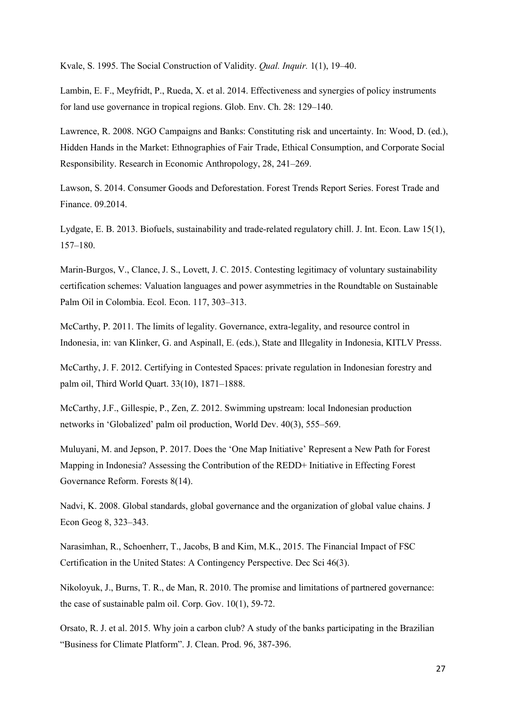Kvale, S. 1995. The Social Construction of Validity. Qual. Inquir. 1(1), 19–40.

Lambin, E. F., Meyfridt, P., Rueda, X. et al. 2014. Effectiveness and synergies of policy instruments for land use governance in tropical regions. Glob. Env. Ch. 28: 129–140.

Lawrence, R. 2008. NGO Campaigns and Banks: Constituting risk and uncertainty. In: Wood, D. (ed.), Hidden Hands in the Market: Ethnographies of Fair Trade, Ethical Consumption, and Corporate Social Responsibility. Research in Economic Anthropology, 28, 241–269.

Lawson, S. 2014. Consumer Goods and Deforestation. Forest Trends Report Series. Forest Trade and Finance. 09.2014.

Lydgate, E. B. 2013. Biofuels, sustainability and trade-related regulatory chill. J. Int. Econ. Law 15(1), 157–180.

Marin-Burgos, V., Clance, J. S., Lovett, J. C. 2015. Contesting legitimacy of voluntary sustainability certification schemes: Valuation languages and power asymmetries in the Roundtable on Sustainable Palm Oil in Colombia. Ecol. Econ. 117, 303–313.

McCarthy, P. 2011. The limits of legality. Governance, extra-legality, and resource control in Indonesia, in: van Klinker, G. and Aspinall, E. (eds.), State and Illegality in Indonesia, KITLV Presss.

McCarthy, J. F. 2012. Certifying in Contested Spaces: private regulation in Indonesian forestry and palm oil, Third World Quart. 33(10), 1871–1888.

McCarthy, J.F., Gillespie, P., Zen, Z. 2012. Swimming upstream: local Indonesian production networks in 'Globalized' palm oil production, World Dev. 40(3), 555–569.

Muluyani, M. and Jepson, P. 2017. Does the 'One Map Initiative' Represent a New Path for Forest Mapping in Indonesia? Assessing the Contribution of the REDD+ Initiative in Effecting Forest Governance Reform. Forests 8(14).

Nadvi, K. 2008. Global standards, global governance and the organization of global value chains. J Econ Geog 8, 323–343.

Narasimhan, R., Schoenherr, T., Jacobs, B and Kim, M.K., 2015. The Financial Impact of FSC Certification in the United States: A Contingency Perspective. Dec Sci 46(3).

Nikoloyuk, J., Burns, T. R., de Man, R. 2010. The promise and limitations of partnered governance: the case of sustainable palm oil. Corp. Gov. 10(1), 59-72.

Orsato, R. J. et al. 2015. Why join a carbon club? A study of the banks participating in the Brazilian "Business for Climate Platform". J. Clean. Prod. 96, 387-396.